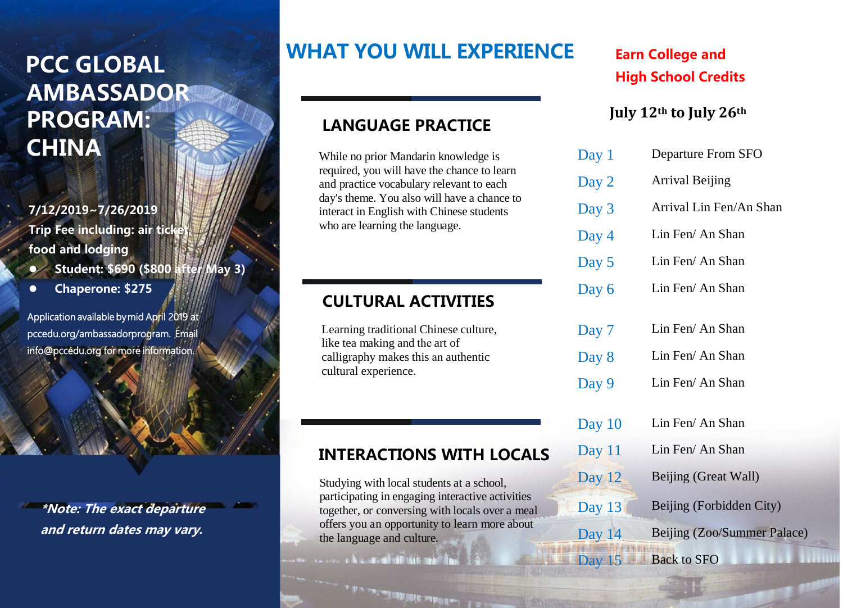# **PCC GLOBAL AMBASSADOR PROGRAM: CHINA** Day 1

#### **7/12/2019~7/26/2019**

**Trip Fee including: air tick food and lodging**

- ⚫ **Student: \$690 (\$800 after May 3)**
- ⚫ **Chaperone: \$275**

Application available by mid April 2019 at pccedu.org/ambassadorprogram. Email info@pccedu.org for more information.

**\*Note: The exact departure and return dates may vary.**

# **WHAT YOU WILL EXPERIENCE**

#### **LANGUAGE PRACTICE**

required, you will have the chance to learn and practice vocabulary relevant to each day's theme. You also will have a chance to interact in English with Chinese students who are learning the language.

#### **CULTURAL ACTIVITIES**

Learning traditional Chinese culture, like tea making and the art of calligraphy makes this an authentic cultural experience.

#### **INTERACTIONS WITH LOCALS**

Studying with local students at a school, participating in engaging interactive activities together, or conversing with locals over a meal offers you an opportunity to learn more about the language and culture.

 $\mathcal{F}_{\mathcal{A}}$  and the simple complex  $\mathcal{F}_{\mathcal{A}}$ 

# **Earn College and High School Credits**

#### **July 12th to July 26th**

| Day $1$  | Departure From SFO          |
|----------|-----------------------------|
| Day 2    | <b>Arrival Beijing</b>      |
| Day 3    | Arrival Lin Fen/An Shan     |
| Day 4    | Lin Fen/ An Shan            |
| Day 5    | Lin Fen/ An Shan            |
| Day 6    | Lin Fen/ An Shan            |
|          |                             |
| Day 7    | Lin Fen/ An Shan            |
| Day 8    | Lin Fen/ An Shan            |
| Day 9    | Lin Fen/ An Shan            |
| Day $10$ | Lin Fen/ An Shan            |
| Day $11$ | Lin Fen/ An Shan            |
| Day 12   | Beijing (Great Wall)        |
| Day 13   | Beijing (Forbidden City)    |
| Day 14   | Beijing (Zoo/Summer Palace) |
| Day $15$ | <b>Back to SFO</b>          |